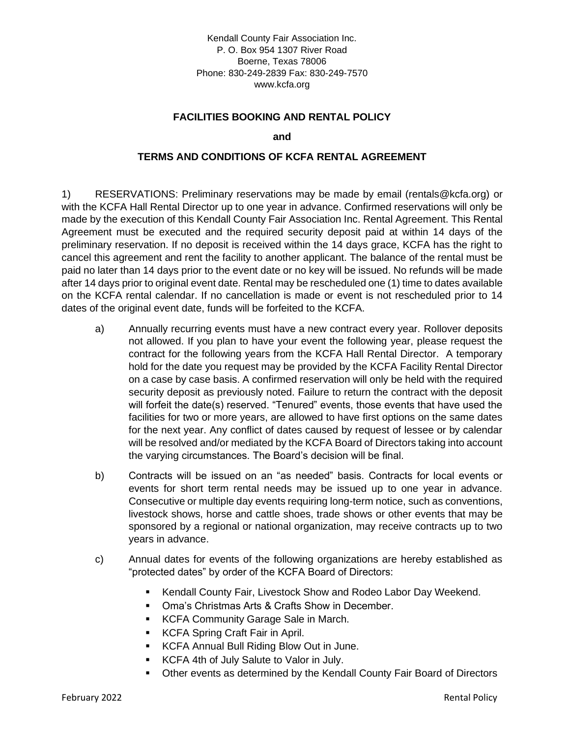Kendall County Fair Association Inc. P. O. Box 954 1307 River Road Boerne, Texas 78006 Phone: 830-249-2839 Fax: 830-249-7570 www.kcfa.org

## **FACILITIES BOOKING AND RENTAL POLICY**

**and**

## **TERMS AND CONDITIONS OF KCFA RENTAL AGREEMENT**

1) RESERVATIONS: Preliminary reservations may be made by email (rentals@kcfa.org) or with the KCFA Hall Rental Director up to one year in advance. Confirmed reservations will only be made by the execution of this Kendall County Fair Association Inc. Rental Agreement. This Rental Agreement must be executed and the required security deposit paid at within 14 days of the preliminary reservation. If no deposit is received within the 14 days grace, KCFA has the right to cancel this agreement and rent the facility to another applicant. The balance of the rental must be paid no later than 14 days prior to the event date or no key will be issued. No refunds will be made after 14 days prior to original event date. Rental may be rescheduled one (1) time to dates available on the KCFA rental calendar. If no cancellation is made or event is not rescheduled prior to 14 dates of the original event date, funds will be forfeited to the KCFA.

- a) Annually recurring events must have a new contract every year. Rollover deposits not allowed. If you plan to have your event the following year, please request the contract for the following years from the KCFA Hall Rental Director. A temporary hold for the date you request may be provided by the KCFA Facility Rental Director on a case by case basis. A confirmed reservation will only be held with the required security deposit as previously noted. Failure to return the contract with the deposit will forfeit the date(s) reserved. "Tenured" events, those events that have used the facilities for two or more years, are allowed to have first options on the same dates for the next year. Any conflict of dates caused by request of lessee or by calendar will be resolved and/or mediated by the KCFA Board of Directors taking into account the varying circumstances. The Board's decision will be final.
- b) Contracts will be issued on an "as needed" basis. Contracts for local events or events for short term rental needs may be issued up to one year in advance. Consecutive or multiple day events requiring long-term notice, such as conventions, livestock shows, horse and cattle shoes, trade shows or other events that may be sponsored by a regional or national organization, may receive contracts up to two years in advance.
- c) Annual dates for events of the following organizations are hereby established as "protected dates" by order of the KCFA Board of Directors:
	- Kendall County Fair, Livestock Show and Rodeo Labor Day Weekend.
	- Oma's Christmas Arts & Crafts Show in December.
	- **EXECTA Community Garage Sale in March.**
	- KCFA Spring Craft Fair in April.
	- KCFA Annual Bull Riding Blow Out in June.
	- KCFA 4th of July Salute to Valor in July.
	- **Other events as determined by the Kendall County Fair Board of Directors**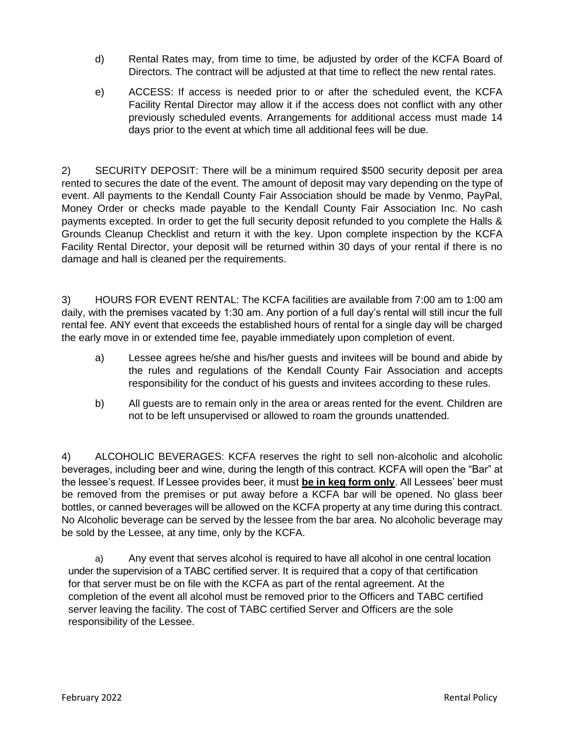- d) Rental Rates may, from time to time, be adjusted by order of the KCFA Board of Directors. The contract will be adjusted at that time to reflect the new rental rates.
- e) ACCESS: If access is needed prior to or after the scheduled event, the KCFA Facility Rental Director may allow it if the access does not conflict with any other previously scheduled events. Arrangements for additional access must made 14 days prior to the event at which time all additional fees will be due.

2) SECURITY DEPOSIT: There will be a minimum required \$500 security deposit per area rented to secures the date of the event. The amount of deposit may vary depending on the type of event. All payments to the Kendall County Fair Association should be made by Venmo, PayPal, Money Order or checks made payable to the Kendall County Fair Association Inc. No cash payments excepted. In order to get the full security deposit refunded to you complete the Halls & Grounds Cleanup Checklist and return it with the key. Upon complete inspection by the KCFA Facility Rental Director, your deposit will be returned within 30 days of your rental if there is no damage and hall is cleaned per the requirements.

3) HOURS FOR EVENT RENTAL: The KCFA facilities are available from 7:00 am to 1:00 am daily, with the premises vacated by 1:30 am. Any portion of a full day's rental will still incur the full rental fee. ANY event that exceeds the established hours of rental for a single day will be charged the early move in or extended time fee, payable immediately upon completion of event.

- a) Lessee agrees he/she and his/her guests and invitees will be bound and abide by the rules and regulations of the Kendall County Fair Association and accepts responsibility for the conduct of his guests and invitees according to these rules.
- b) All guests are to remain only in the area or areas rented for the event. Children are not to be left unsupervised or allowed to roam the grounds unattended.

4) ALCOHOLIC BEVERAGES: KCFA reserves the right to sell non-alcoholic and alcoholic beverages, including beer and wine, during the length of this contract. KCFA will open the "Bar" at the lessee's request. If Lessee provides beer, it must **be in keg form only**. All Lessees' beer must be removed from the premises or put away before a KCFA bar will be opened. No glass beer bottles, or canned beverages will be allowed on the KCFA property at any time during this contract. No Alcoholic beverage can be served by the lessee from the bar area. No alcoholic beverage may be sold by the Lessee, at any time, only by the KCFA.

a) Any event that serves alcohol is required to have all alcohol in one central location under the supervision of a TABC certified server. It is required that a copy of that certification for that server must be on file with the KCFA as part of the rental agreement. At the completion of the event all alcohol must be removed prior to the Officers and TABC certified server leaving the facility. The cost of TABC certified Server and Officers are the sole responsibility of the Lessee.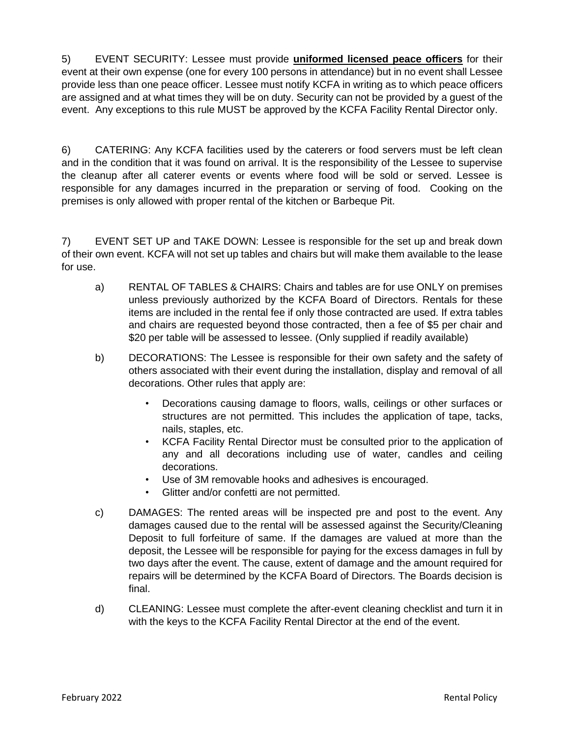5) EVENT SECURITY: Lessee must provide **uniformed licensed peace officers** for their event at their own expense (one for every 100 persons in attendance) but in no event shall Lessee provide less than one peace officer. Lessee must notify KCFA in writing as to which peace officers are assigned and at what times they will be on duty. Security can not be provided by a guest of the event. Any exceptions to this rule MUST be approved by the KCFA Facility Rental Director only.

6) CATERING: Any KCFA facilities used by the caterers or food servers must be left clean and in the condition that it was found on arrival. It is the responsibility of the Lessee to supervise the cleanup after all caterer events or events where food will be sold or served. Lessee is responsible for any damages incurred in the preparation or serving of food. Cooking on the premises is only allowed with proper rental of the kitchen or Barbeque Pit.

7) EVENT SET UP and TAKE DOWN: Lessee is responsible for the set up and break down of their own event. KCFA will not set up tables and chairs but will make them available to the lease for use.

- a) RENTAL OF TABLES & CHAIRS: Chairs and tables are for use ONLY on premises unless previously authorized by the KCFA Board of Directors. Rentals for these items are included in the rental fee if only those contracted are used. If extra tables and chairs are requested beyond those contracted, then a fee of \$5 per chair and \$20 per table will be assessed to lessee. (Only supplied if readily available)
- b) DECORATIONS: The Lessee is responsible for their own safety and the safety of others associated with their event during the installation, display and removal of all decorations. Other rules that apply are:
	- Decorations causing damage to floors, walls, ceilings or other surfaces or structures are not permitted. This includes the application of tape, tacks, nails, staples, etc.
	- KCFA Facility Rental Director must be consulted prior to the application of any and all decorations including use of water, candles and ceiling decorations.
	- Use of 3M removable hooks and adhesives is encouraged.
	- Glitter and/or confetti are not permitted.
- c) DAMAGES: The rented areas will be inspected pre and post to the event. Any damages caused due to the rental will be assessed against the Security/Cleaning Deposit to full forfeiture of same. If the damages are valued at more than the deposit, the Lessee will be responsible for paying for the excess damages in full by two days after the event. The cause, extent of damage and the amount required for repairs will be determined by the KCFA Board of Directors. The Boards decision is final.
- d) CLEANING: Lessee must complete the after-event cleaning checklist and turn it in with the keys to the KCFA Facility Rental Director at the end of the event.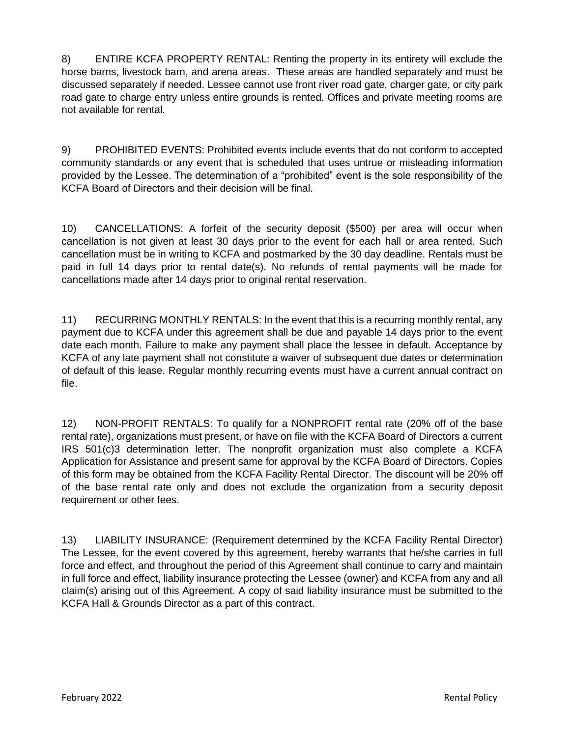8) ENTIRE KCFA PROPERTY RENTAL: Renting the property in its entirety will exclude the horse barns, livestock barn, and arena areas. These areas are handled separately and must be discussed separately if needed. Lessee cannot use front river road gate, charger gate, or city park road gate to charge entry unless entire grounds is rented. Offices and private meeting rooms are not available for rental.

9) PROHIBITED EVENTS: Prohibited events include events that do not conform to accepted community standards or any event that is scheduled that uses untrue or misleading information provided by the Lessee. The determination of a "prohibited" event is the sole responsibility of the KCFA Board of Directors and their decision will be final.

10) CANCELLATIONS: A forfeit of the security deposit (\$500) per area will occur when cancellation is not given at least 30 days prior to the event for each hall or area rented. Such cancellation must be in writing to KCFA and postmarked by the 30 day deadline. Rentals must be paid in full 14 days prior to rental date(s). No refunds of rental payments will be made for cancellations made after 14 days prior to original rental reservation.

11) RECURRING MONTHLY RENTALS: In the event that this is a recurring monthly rental, any payment due to KCFA under this agreement shall be due and payable 14 days prior to the event date each month. Failure to make any payment shall place the lessee in default. Acceptance by KCFA of any late payment shall not constitute a waiver of subsequent due dates or determination of default of this lease. Regular monthly recurring events must have a current annual contract on file.

12) NON-PROFIT RENTALS: To qualify for a NONPROFIT rental rate (20% off of the base rental rate), organizations must present, or have on file with the KCFA Board of Directors a current IRS 501(c)3 determination letter. The nonprofit organization must also complete a KCFA Application for Assistance and present same for approval by the KCFA Board of Directors. Copies of this form may be obtained from the KCFA Facility Rental Director. The discount will be 20% off of the base rental rate only and does not exclude the organization from a security deposit requirement or other fees.

13) LIABILITY INSURANCE: (Requirement determined by the KCFA Facility Rental Director) The Lessee, for the event covered by this agreement, hereby warrants that he/she carries in full force and effect, and throughout the period of this Agreement shall continue to carry and maintain in full force and effect, liability insurance protecting the Lessee (owner) and KCFA from any and all claim(s) arising out of this Agreement. A copy of said liability insurance must be submitted to the KCFA Hall & Grounds Director as a part of this contract.